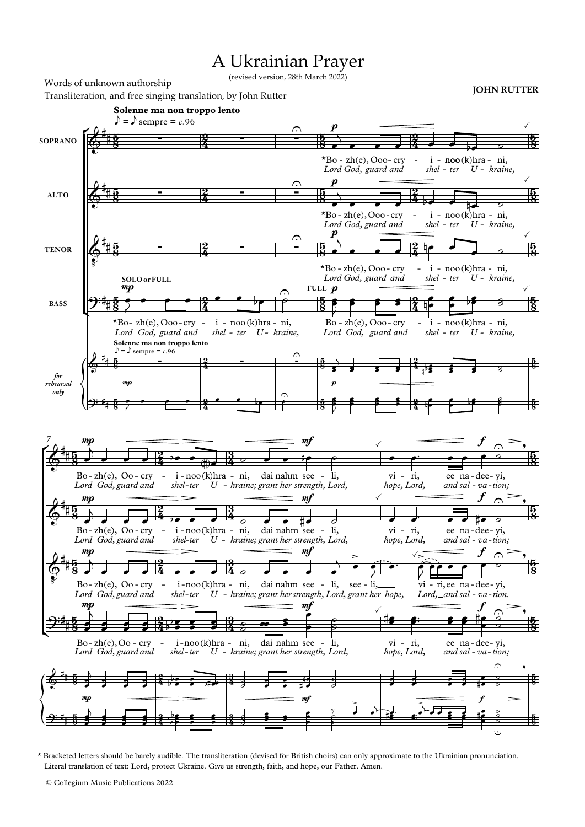## A Ukrainian Prayer

(revised version, 28th March 2022)

ŕ ľ ŕ ľ **Solenne ma non troppo lento Solenne ma non troppo lento**  $\log \theta$  sempre = c.96  $e^x = e^x$ .96<br>  $e^x = \frac{e^x}{2}$ Transliteration, and free singing translation, by John Rutter **JOHN RUTTER JOHN RUTTER SOPRANO ALTO TENOR BASS** *for rehearsal only 7*  $\frac{5}{2}$ 5<br>8  $\frac{5}{2}$  $\frac{5}{8}$  $\frac{5}{2}$ 5<br>8  $\frac{5}{2}$  $\frac{5}{8}$  $\frac{5}{8}$ 5  $\frac{5}{8}$ 2 ž 2  $\frac{2}{4}$ 2 ž 2  $\frac{2}{4}$ 2 ž 2 ž  $\frac{5}{2}$ <u>58</u>  $\frac{5}{2}$  $\frac{5}{8}$  $\frac{5}{2}$ <u>58</u> **FULL**  $p$  $\frac{5}{8}$ 5  $\frac{5}{8}$ 5  $\frac{5}{8}$ 2 ž -<br>2 ź 2 ž 2 ž 2 ž 2 ž  $\frac{5}{2}$ <u>58</u>  $\frac{5}{2}$  $\frac{5}{8}$  $\frac{5}{2}$  $\frac{5}{8}$  $\frac{5}{2}$  $\frac{5}{8}$ 5  $\frac{5}{8}$ 5  $\frac{5}{8}$  $\frac{5}{2}$  $\frac{5}{8}$  $\frac{5}{2}$  $\frac{5}{8}$  $\frac{5}{2}$  $\frac{5}{8}$  $\frac{5}{2}$  $\frac{5}{8}$ 5 <u>58</u> 5 <u>3</u> 2 ź 2 Ź 2 ź 2 ź 2 ž 2 ž <u>3</u>  $\frac{3}{4}$ 3 i<br>4 <u>3</u>  $\frac{3}{4}$ <u>3</u>  $\frac{3}{4}$ 3 Ž 3 ž  $\frac{5}{2}$  $\frac{5}{8}$  $\frac{1}{2}$  $\frac{5}{8}$  $\frac{5}{2}$  $\frac{5}{8}$  $\frac{5}{2}$  $\frac{5}{8}$ 5  $\frac{5}{8}$ 5  $\frac{5}{8}$  $\frac{\partial}{\partial \theta}$  $\frac{45}{48}$  -  $\frac{2}{4}$  -  $\frac{2}{4}$  $*Bo$  - zh(e), Ooo- cry - i *Lord God, guard and* p *shel ter - U* - i - noo(k)hra - ni, *- kraine,*  $\checkmark$  $\mathbf{\hat{e}}^*$  $\frac{15}{18}$  -  $\frac{2}{4}$  -  $\frac{2}{4}$  $*Bo$  - zh(e), Ooo - cry - i *Lord God, guard and* p *shel ter - U* - noo - (k)hra - ni, *- kraine,*  $\checkmark$  $\Phi$   $\sharp$  $\frac{15}{2}$  - 2 - - $*Bo$  - zh(e), Ooo - cry - i *Lord God, guard and* p *shel ter - U* - noo - (k)hra - ni, *- kraine,*  $\checkmark$  $\mathbf{\mathcal{P}}^{\mathbf{:t}}$  $*Bo- zh(e)$ , Ooo-cry - i *Lord God, guard and* mp **SOLO or FULL** *shel ter - U - kraine,* - i - noo(k)hra - ni,  $\frac{1}{2}$  $Bo - zh(e)$ ,  $Ooo - cry - i$ *Lord God, guard and shel ter - U* - i - noo(k)hra - ni, *- kraine,*  $\checkmark$  $\textcolor{red}{\textcolor{black}{\textcolor{black}{\textcolor{black}{\textcolor{black}{\textcolor{black}{\textcolor{black}{\textcolor{black}{\textcolor{black}{\textcolor{black}{\textcolor{black}{\textcolor{black}{\textcolor{black}{\textcolor{black}{\textcolor{black}{\textcolor{black}{\textcolor{black}{\textcolor{black}{\textcolor{black}{\textcolor{black}{\textcolor{black}{\textcolor{black}{\textcolor{black}{\textcolor{black}{\textcolor{black}{\textcolor{black}{\textcolor{black}{\textcolor{black}{\textcolor{black}{\textcolor{black}{\textcolor{black}{\textcolor{black}{\textcolor{black}{\textcolor{black}{\textcolor{black}{\textcolor{black}{\textcolor{$  $\boldsymbol{r}$ ): i<sub>i</sub> mp  $\frac{1}{2}$  $\delta^*$ H.  $Bo$ -zh $(e)$ ,  $Oo$ -cry - i *Lord God, guard and* mp *shel ter - U* - i-noo(k)hra - ni, dai *kraine; - grant her strength, Lord,* nahm see  $m$ li,  $\frac{1}{2}$ vi *hope, Lord,* ri, - ee *and* sal - va-tion; na dee - yi, f  $\triangle$  $\frac{1}{\sqrt{2}}$  $\frac{\partial}{\partial \theta}$ Ħ  $Bo$ -zh $(e)$ ,  $Oo$ -cry - i *Lord God, guard and* mp *shel ter - U* - i-noo(k)hra - ni, dai *kraine; - grant her strength, Lord,* nahm see - li, mf  $\checkmark$ vi - ri, ee *hope, Lord, and* sal - va-tion; na dee - yi, f  $\frac{1}{\sqrt{2}}$  $\frac{1}{\sqrt{2}}$  $\Phi$  ŧ. i. Bo-zh(e), Oo-cry *Lord God, guard and* mp *shel -ter* - i-noo(k)hra - ni, dai *U kraine; - grant her strength, Lord, grant her hope,* nahm see - li, see mf  $\geq$ li, -  $\sqrt{2}$ *Lord*, and sal - va-tion. vi - ri, ee na - dee - yi,  $\leq$ f  $\triangle$  $\frac{1}{\sqrt{2}}$  $\mathbf{\mathfrak{P}}^{\mathbf{:t}}$ Bo-zh(e), Oo - cry *Lord God, guard and* mp<br> *shel* - <sup>i</sup> noo *-ter* -noo(k)hra - ni, dai *U kraine; - grant her strength, Lord,* nahm see li, mf  $\checkmark$ vi - ri, ee *hope, Lord,* and sal - va-tion; na dee - yi, f  $\hat{\varphi}$  $\frac{1}{\sqrt{2}}$  $\textcolor{red}{\textcolor{black}{\textcolor{black}{\textcolor{black}{\textcolor{black}{\textcolor{black}{\textcolor{black}{\textcolor{black}{\textcolor{black}{\textcolor{black}{\textcolor{black}{\textcolor{black}{\textcolor{black}{\textcolor{black}{\textcolor{black}{\textcolor{black}{\textcolor{black}{\textcolor{black}{\textcolor{black}{\textcolor{black}{\textcolor{black}{\textcolor{black}{\textcolor{black}{\textcolor{black}{\textcolor{black}{\textcolor{black}{\textcolor{black}{\textcolor{black}{\textcolor{black}{\textcolor{black}{\textcolor{black}{\textcolor{black}{\textcolor{black}{\textcolor{black}{\textcolor{black}{\textcolor{black}{\textcolor{$ p. mp and  $\frac{m}{2}$  function  $\frac{m}{2}$  and  $\frac{m}{2}$  function  $\frac{m}{2}$  function  $\frac{m}{2}$  function  $\frac{m}{2}$  function  $\frac{m}{2}$  function  $\frac{m}{2}$  function  $\frac{m}{2}$  function  $\frac{m}{2}$  function  $\frac{m}{2}$  function  $\frac{m}{2}$   $\widehat{\mathcal{L}}$ , ): t<sub>#</sub>  $\overline{a}$ ì Ξ Ħ  $\overline{\mathbb{C}}$  $\overline{\phantom{a}}$  $\frac{2}{4}$  and  $\frac{2}{4}$  $\overline{\phantom{a}}$  $\frac{2}{4}$  and  $\frac{1}{4}$  $\overline{\phantom{a}}$  $\frac{1}{4}$  $\frac{1}{\beta}$   $\frac{1}{5}$   $\frac{5}{7}$   $\frac{5}{4}$   $\frac{2}{4}$   $\frac{1}{2}$  $\frac{1}{1}$  $\frac{1}{2}$   $\frac{1}{2}$   $\frac{1}{2}$  $\overline{\phantom{a}}$  $\overline{\phantom{a}}$  $\overline{\phantom{a}}$  $\overline{\phantom{a}}$  $\overline{\phantom{a}}$  $\frac{1}{4}$  ,  $\frac{1}{2}$ ś  $\frac{1}{2}$  : ś  $\mathbf{r}$  $\overline{\bullet}$   $\overline{\phantom{0}}$   $\overline{\phantom{0}}$  $_{g}^{-}$  $\overline{\mathbf{f}}$  $\mathfrak{p}$  ,  $\mathfrak{p}$  ,  $\mathfrak{p}$  ,  $\mathfrak{p}$  ,  $\mathfrak{p}$  ,  $\mathfrak{p}$  ,  $\mathfrak{p}$ ₱  $\frac{2}{3}$   $\frac{2}{3}$  $\cdot$  6  $\frac{1}{2}$   $\frac{1}{2}$   $\frac{1}{2}$  $\overline{\phantom{a}}$  $\frac{1}{\sqrt{2}}$  ,  $\frac{1}{\sqrt{2}}$  ,  $\frac{1}{\sqrt{2}}$  ,  $\frac{1}{\sqrt{2}}$  ,  $\frac{1}{\sqrt{2}}$  ,  $\frac{1}{\sqrt{2}}$  ,  $\frac{1}{\sqrt{2}}$  ,  $\frac{1}{\sqrt{2}}$  ,  $\frac{1}{\sqrt{2}}$  ,  $\frac{1}{\sqrt{2}}$  ,  $\frac{1}{\sqrt{2}}$  ,  $\frac{1}{\sqrt{2}}$  ,  $\frac{1}{\sqrt{2}}$  ,  $\frac{1}{\sqrt{2}}$  ,  $\frac{1}{\sqrt{2}}$  $\overline{\phantom{a}}$  $\frac{2}{\sqrt{2}}$  ,  $\frac{2}{\sqrt{4}}$  ,  $\frac{3}{\sqrt{4}}$  ,  $\frac{1}{\sqrt{4}}$  ,  $\frac{1}{\sqrt{4}}$  ,  $\frac{1}{\sqrt{4}}$  ,  $\frac{1}{\sqrt{4}}$  ,  $\frac{1}{\sqrt{4}}$  ,  $\frac{1}{\sqrt{4}}$  $\overline{\phantom{a}}$  $\frac{3}{4}$  ,  $\frac{2}{4}$  ,  $\frac{3}{4}$  ,  $\frac{3}{4}$  $\frac{2}{\sqrt{2}}$  $\frac{1}{\sqrt{1-\frac{1}{\sqrt{1-\frac{1}{\sqrt{1-\frac{1}{\sqrt{1-\frac{1}{\sqrt{1-\frac{1}{\sqrt{1-\frac{1}{\sqrt{1-\frac{1}{\sqrt{1-\frac{1}{\sqrt{1-\frac{1}{\sqrt{1-\frac{1}{\sqrt{1-\frac{1}{\sqrt{1-\frac{1}{\sqrt{1-\frac{1}{\sqrt{1-\frac{1}{\sqrt{1-\frac{1}{\sqrt{1-\frac{1}{\sqrt{1-\frac{1}{\sqrt{1-\frac{1}{\sqrt{1-\frac{1}{\sqrt{1-\frac{1}{\sqrt{1-\frac{1}{\sqrt{1-\frac{1}{\sqrt{1-\frac{1}{\sqrt{1-\frac{1$  $\frac{1}{\sqrt{2}}$  $\bullet$  $\frac{1}{2}$  $\bullet$  $\frac{1}{2}$  $\frac{1}{2}$  $\frac{1}{4}$   $\frac{1}{2}$  $\frac{1}{2}$  $\frac{1}{2}$  $\frac{3}{4}$   $\frac{3}{2}$  $\begin{array}{c|c|c|c|c|c} & & & & \textit{iny} \\ \hline\hline\end{array}$  $\bullet$  $\begin{array}{ccc} \circ & & \ast & \bullet \ \circ & & \bullet \ \circ & & & \end{array}$  $\frac{1}{2}$  $\frac{1}{2}$  $\frac{1}{4}$  $\frac{2}{5}$ J  $\overline{\phantom{a}}$  $\overline{ }$ J  $\colon$  :  $\cdot$  .  $: \frac{2}{4}$  ):  $\frac{b}{b}$   $\frac{c}{c}$  $\frac{1}{2}$   $\frac{3}{4}$   $\frac{3}{2}$  $\stackrel{\text{\tiny 1}}{\text{\tiny 2}}$  :  $\cdot$  ,  $=$   $\frac{1}{4}$ ╔  $^{\ast}$  ,  $^{\circ}$  $\frac{1}{2}$  $\colon$  $\overline{\phantom{a}}$  $\frac{1}{2}$  $\cdot$  :  $\frac{1}{2}$ ┪  $\frac{1}{2}$  $\frac{1}{2}$ Į ś  $\overline{\bullet}$  $\overline{b}$ Į s  $\frac{1}{2}$ ś  $\frac{1}{2}$ ś  $\frac{1}{2}$ F b  $\frac{1}{2}$  $\frac{1}{2}$   $\frac{1}{2}$  $\frac{2}{\pi}$  $\frac{2}{4}$  8 ₫  $\frac{1}{2}$  i i i É  $\frac{2}{\epsilon}$ ę  $\frac{1}{2}$  $\overrightarrow{a}$ : ┙  $\frac{1}{\sqrt{1-\frac{1}{2}}}$  $\frac{1}{2}$ p E

\* Bracketed letters should be barely audible. The transliteration (devised for British choirs) can only approximate to the Ukrainian pronunciation. Literal translation of text: Lord, protect Ukraine. Give us strength, faith, and hope, our Father. Amen.

© Collegium Music Publications 2022

Words of unknown authorship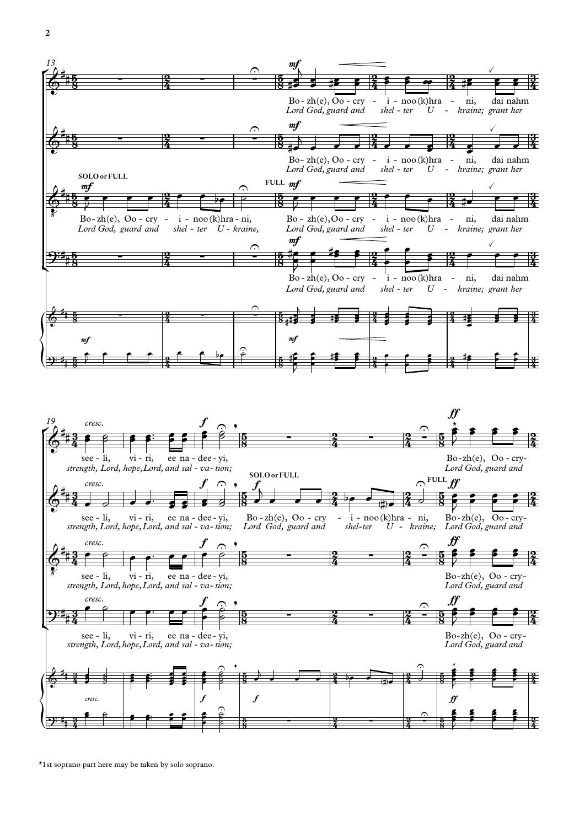



\*1st soprano part here may be taken by solo soprano.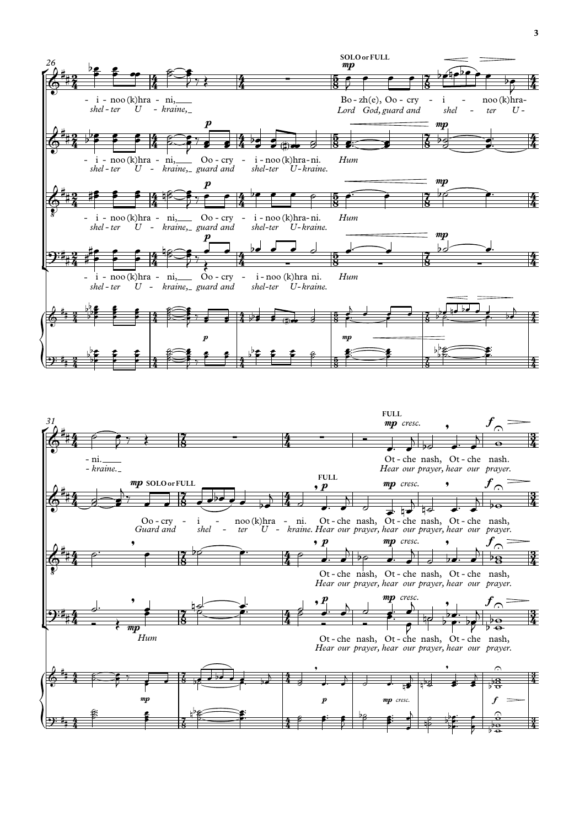